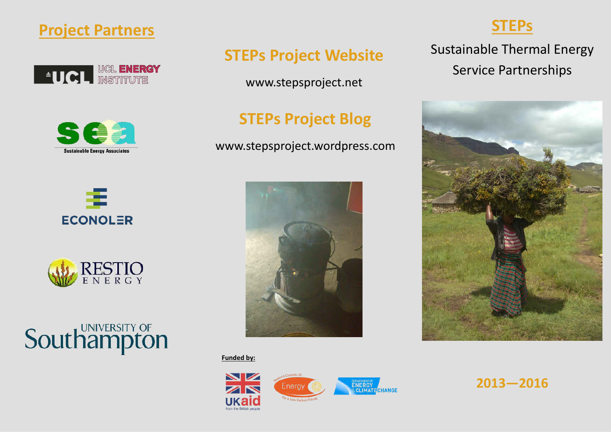









# **Southampton**

# **STEPs Project Website**

www.stepsproject.net

# **STEPs Project Blog**

www.stepsproject.wordpress.com



**Funded by:** 



**STEPs** 

**Sustainable Thermal Energy Service Partnerships** 



 $2013 - 2016$